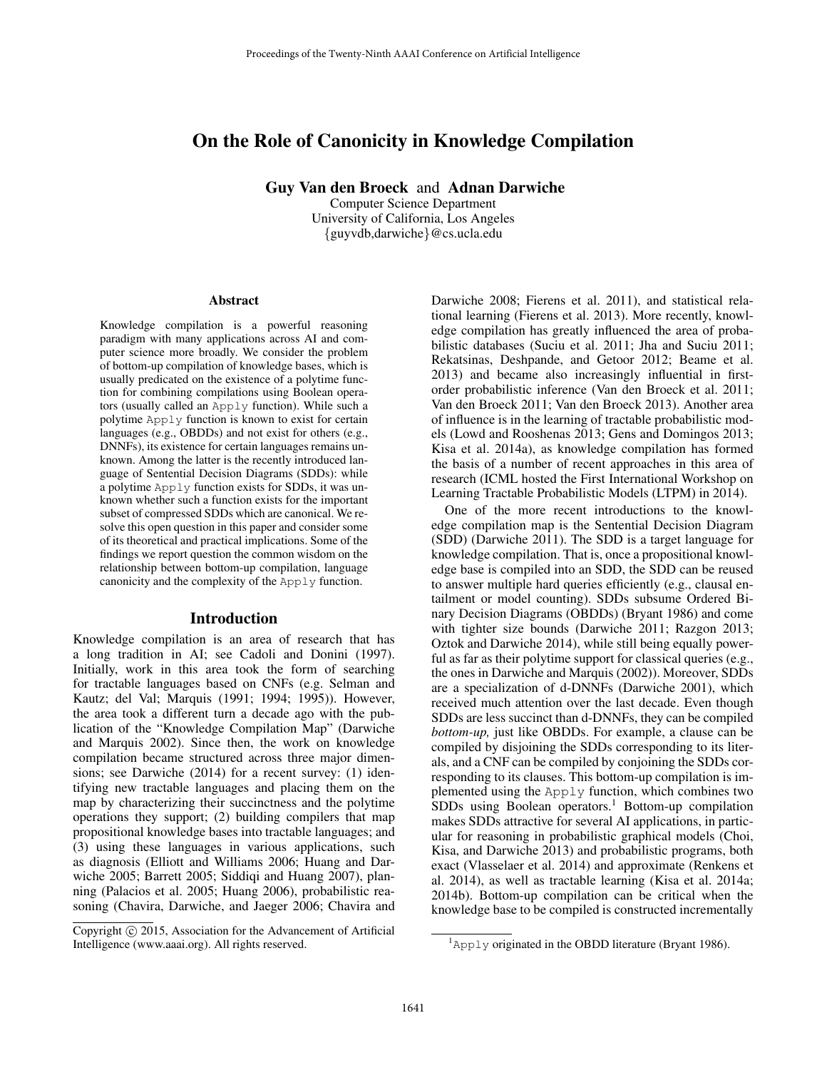# On the Role of Canonicity in Knowledge Compilation

Guy Van den Broeck and Adnan Darwiche

Computer Science Department University of California, Los Angeles {guyvdb,darwiche}@cs.ucla.edu

#### Abstract

Knowledge compilation is a powerful reasoning paradigm with many applications across AI and computer science more broadly. We consider the problem of bottom-up compilation of knowledge bases, which is usually predicated on the existence of a polytime function for combining compilations using Boolean operators (usually called an Apply function). While such a polytime Apply function is known to exist for certain languages (e.g., OBDDs) and not exist for others (e.g., DNNFs), its existence for certain languages remains unknown. Among the latter is the recently introduced language of Sentential Decision Diagrams (SDDs): while a polytime Apply function exists for SDDs, it was unknown whether such a function exists for the important subset of compressed SDDs which are canonical. We resolve this open question in this paper and consider some of its theoretical and practical implications. Some of the findings we report question the common wisdom on the relationship between bottom-up compilation, language canonicity and the complexity of the Apply function.

#### Introduction

Knowledge compilation is an area of research that has a long tradition in AI; see Cadoli and Donini (1997). Initially, work in this area took the form of searching for tractable languages based on CNFs (e.g. Selman and Kautz; del Val; Marquis (1991; 1994; 1995)). However, the area took a different turn a decade ago with the publication of the "Knowledge Compilation Map" (Darwiche and Marquis 2002). Since then, the work on knowledge compilation became structured across three major dimensions; see Darwiche (2014) for a recent survey: (1) identifying new tractable languages and placing them on the map by characterizing their succinctness and the polytime operations they support; (2) building compilers that map propositional knowledge bases into tractable languages; and (3) using these languages in various applications, such as diagnosis (Elliott and Williams 2006; Huang and Darwiche 2005; Barrett 2005; Siddiqi and Huang 2007), planning (Palacios et al. 2005; Huang 2006), probabilistic reasoning (Chavira, Darwiche, and Jaeger 2006; Chavira and

Darwiche 2008; Fierens et al. 2011), and statistical relational learning (Fierens et al. 2013). More recently, knowledge compilation has greatly influenced the area of probabilistic databases (Suciu et al. 2011; Jha and Suciu 2011; Rekatsinas, Deshpande, and Getoor 2012; Beame et al. 2013) and became also increasingly influential in firstorder probabilistic inference (Van den Broeck et al. 2011; Van den Broeck 2011; Van den Broeck 2013). Another area of influence is in the learning of tractable probabilistic models (Lowd and Rooshenas 2013; Gens and Domingos 2013; Kisa et al. 2014a), as knowledge compilation has formed the basis of a number of recent approaches in this area of research (ICML hosted the First International Workshop on Learning Tractable Probabilistic Models (LTPM) in 2014).

One of the more recent introductions to the knowledge compilation map is the Sentential Decision Diagram (SDD) (Darwiche 2011). The SDD is a target language for knowledge compilation. That is, once a propositional knowledge base is compiled into an SDD, the SDD can be reused to answer multiple hard queries efficiently (e.g., clausal entailment or model counting). SDDs subsume Ordered Binary Decision Diagrams (OBDDs) (Bryant 1986) and come with tighter size bounds (Darwiche 2011; Razgon 2013; Oztok and Darwiche 2014), while still being equally powerful as far as their polytime support for classical queries (e.g., the ones in Darwiche and Marquis (2002)). Moreover, SDDs are a specialization of d-DNNFs (Darwiche 2001), which received much attention over the last decade. Even though SDDs are less succinct than d-DNNFs, they can be compiled *bottom-up,* just like OBDDs. For example, a clause can be compiled by disjoining the SDDs corresponding to its literals, and a CNF can be compiled by conjoining the SDDs corresponding to its clauses. This bottom-up compilation is implemented using the Apply function, which combines two  $SDDs$  using Boolean operators.<sup>1</sup> Bottom-up compilation makes SDDs attractive for several AI applications, in particular for reasoning in probabilistic graphical models (Choi, Kisa, and Darwiche 2013) and probabilistic programs, both exact (Vlasselaer et al. 2014) and approximate (Renkens et al. 2014), as well as tractable learning (Kisa et al. 2014a; 2014b). Bottom-up compilation can be critical when the knowledge base to be compiled is constructed incrementally

Copyright (c) 2015, Association for the Advancement of Artificial Intelligence (www.aaai.org). All rights reserved.

 ${}^{1}$ Apply originated in the OBDD literature (Bryant 1986).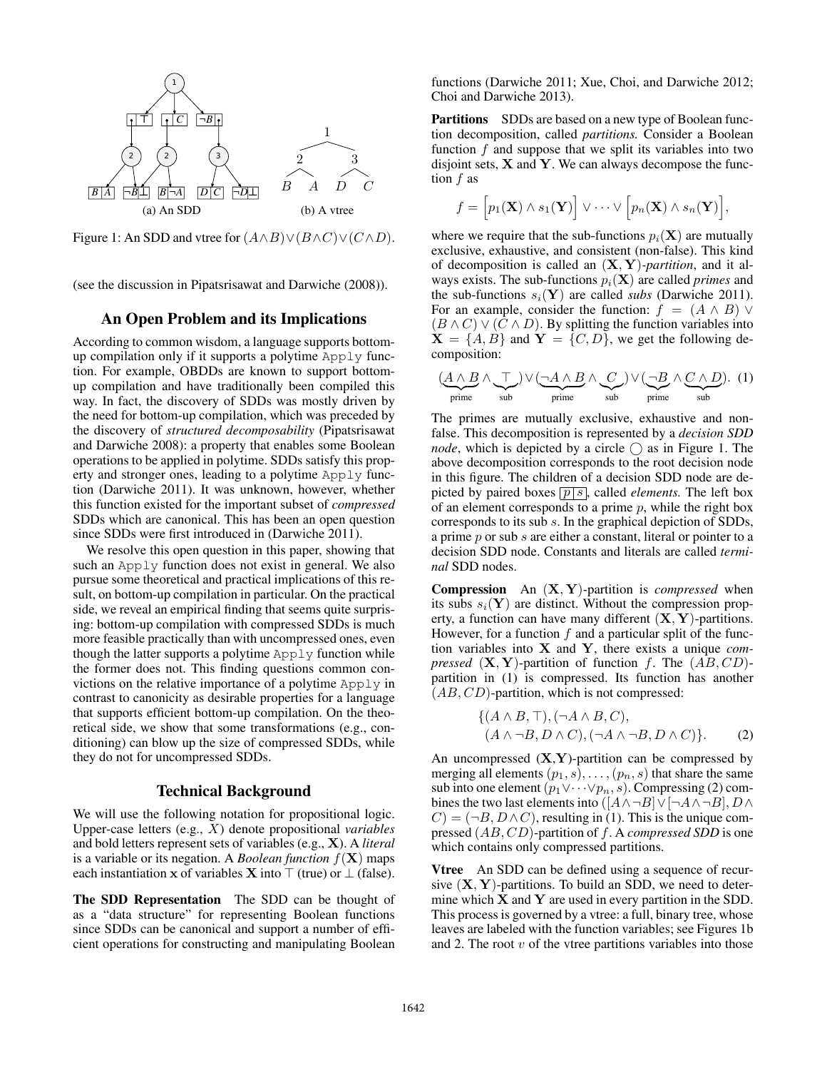

Figure 1: An SDD and vtree for  $(A \wedge B) \vee (B \wedge C) \vee (C \wedge D)$ .

(see the discussion in Pipatsrisawat and Darwiche (2008)).

## An Open Problem and its Implications

According to common wisdom, a language supports bottomup compilation only if it supports a polytime Apply function. For example, OBDDs are known to support bottomup compilation and have traditionally been compiled this way. In fact, the discovery of SDDs was mostly driven by the need for bottom-up compilation, which was preceded by the discovery of *structured decomposability* (Pipatsrisawat and Darwiche 2008): a property that enables some Boolean operations to be applied in polytime. SDDs satisfy this property and stronger ones, leading to a polytime Apply function (Darwiche 2011). It was unknown, however, whether this function existed for the important subset of *compressed* SDDs which are canonical. This has been an open question since SDDs were first introduced in (Darwiche 2011).

We resolve this open question in this paper, showing that such an Apply function does not exist in general. We also pursue some theoretical and practical implications of this result, on bottom-up compilation in particular. On the practical side, we reveal an empirical finding that seems quite surprising: bottom-up compilation with compressed SDDs is much more feasible practically than with uncompressed ones, even though the latter supports a polytime Apply function while the former does not. This finding questions common convictions on the relative importance of a polytime  $\text{Apply in}$ contrast to canonicity as desirable properties for a language that supports efficient bottom-up compilation. On the theoretical side, we show that some transformations (e.g., conditioning) can blow up the size of compressed SDDs, while they do not for uncompressed SDDs.

## Technical Background

We will use the following notation for propositional logic. Upper-case letters (e.g., X) denote propositional *variables* and bold letters represent sets of variables (e.g., X). A *literal* is a variable or its negation. A *Boolean function*  $f(\mathbf{X})$  maps each instantiation x of variables X into  $\top$  (true) or  $\bot$  (false).

The SDD Representation The SDD can be thought of as a "data structure" for representing Boolean functions since SDDs can be canonical and support a number of efficient operations for constructing and manipulating Boolean

functions (Darwiche 2011; Xue, Choi, and Darwiche 2012; Choi and Darwiche 2013).

Partitions SDDs are based on a new type of Boolean function decomposition, called *partitions.* Consider a Boolean function  $f$  and suppose that we split its variables into two disjoint sets,  $X$  and  $Y$ . We can always decompose the function f as

$$
f = [p_1(\mathbf{X}) \wedge s_1(\mathbf{Y})] \vee \cdots \vee [p_n(\mathbf{X}) \wedge s_n(\mathbf{Y})],
$$

where we require that the sub-functions  $p_i(\mathbf{X})$  are mutually exclusive, exhaustive, and consistent (non-false). This kind of decomposition is called an (X, Y)*-partition*, and it always exists. The sub-functions  $p_i(\mathbf{X})$  are called *primes* and the sub-functions  $s_i(\mathbf{Y})$  are called *subs* (Darwiche 2011). For an example, consider the function:  $f = (A \wedge B) \vee$  $(B \wedge C) \vee (C \wedge D)$ . By splitting the function variables into  $X = \{A, B\}$  and  $Y = \{C, D\}$ , we get the following decomposition:

$$
(\underbrace{A \wedge B}_{\text{prime}} \wedge \underbrace{\top}_{\text{sub}}) \vee (\underbrace{\neg A \wedge B}_{\text{prime}} \wedge \underbrace{C}_{\text{sub}}) \vee (\underbrace{\neg B}_{\text{prime}} \wedge \underbrace{C \wedge D}_{\text{sub}}). (1)
$$

The primes are mutually exclusive, exhaustive and nonfalse. This decomposition is represented by a *decision SDD node*, which is depicted by a circle  $\bigcap$  as in Figure 1. The above decomposition corresponds to the root decision node in this figure. The children of a decision SDD node are depicted by paired boxes  $\boxed{p \mid s}$ , called *elements*. The left box of an element corresponds to a prime  $p$ , while the right box corresponds to its sub s. In the graphical depiction of SDDs, a prime p or sub s are either a constant, literal or pointer to a decision SDD node. Constants and literals are called *terminal* SDD nodes.

Compression An (X, Y)-partition is *compressed* when its subs  $s_i(Y)$  are distinct. Without the compression property, a function can have many different  $(X, Y)$ -partitions. However, for a function  $f$  and a particular split of the function variables into X and Y, there exists a unique *compressed*  $(X, Y)$ -partition of function f. The  $(AB, CD)$ partition in (1) is compressed. Its function has another  $(AB, CD)$ -partition, which is not compressed:

$$
\{(A \land B, \top), (\neg A \land B, C),(A \land \neg B, D \land C), (\neg A \land \neg B, D \land C)\}.
$$
 (2)

An uncompressed  $(X, Y)$ -partition can be compressed by merging all elements  $(p_1, s), \ldots, (p_n, s)$  that share the same sub into one element  $(p_1 \lor \cdots \lor p_n, s)$ . Compressing (2) combines the two last elements into  $([A \wedge \neg B] \vee [\neg A \wedge \neg B], D \wedge$  $C = (\neg B, D \land C)$ , resulting in (1). This is the unique compressed (AB, CD)-partition of f. A *compressed SDD* is one which contains only compressed partitions.

Vtree An SDD can be defined using a sequence of recursive  $(X, Y)$ -partitions. To build an SDD, we need to determine which  $X$  and  $Y$  are used in every partition in the SDD. This process is governed by a vtree: a full, binary tree, whose leaves are labeled with the function variables; see Figures 1b and 2. The root  $v$  of the vtree partitions variables into those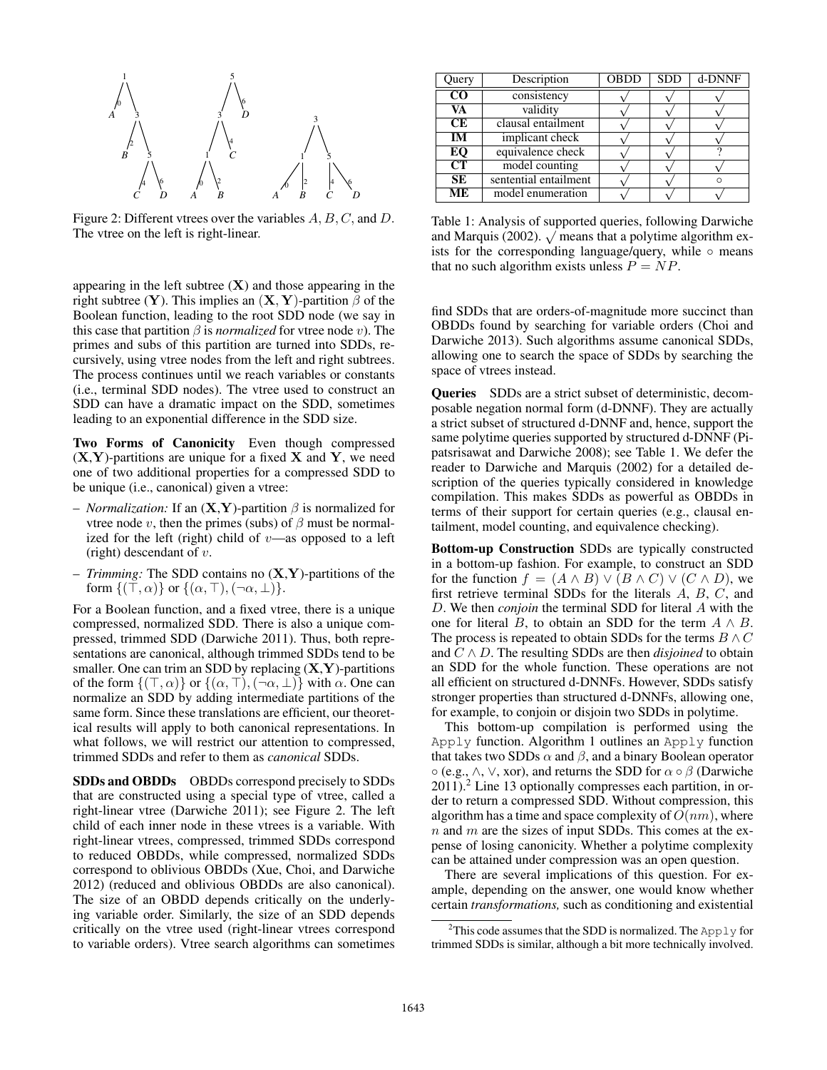

Figure 2: Different vtrees over the variables A, B, C, and D. The vtree on the left is right-linear.

appearing in the left subtree  $(X)$  and those appearing in the right subtree (Y). This implies an  $(X, Y)$ -partition  $\beta$  of the Boolean function, leading to the root SDD node (we say in this case that partition  $\beta$  is *normalized* for vtree node v). The primes and subs of this partition are turned into SDDs, recursively, using vtree nodes from the left and right subtrees. The process continues until we reach variables or constants (i.e., terminal SDD nodes). The vtree used to construct an SDD can have a dramatic impact on the SDD, sometimes leading to an exponential difference in the SDD size.

Two Forms of Canonicity Even though compressed  $(X, Y)$ -partitions are unique for a fixed X and Y, we need one of two additional properties for a compressed SDD to be unique (i.e., canonical) given a vtree:

- *Normalization:* If an  $(X, Y)$ -partition  $\beta$  is normalized for vtree node v, then the primes (subs) of  $\beta$  must be normalized for the left (right) child of  $v$ —as opposed to a left (right) descendant of  $v$ .
- *Trimming:* The SDD contains no (X,Y)-partitions of the form  $\{(\top,\alpha)\}\$  or  $\{(\alpha,\top),(\neg\alpha,\bot)\}.$

For a Boolean function, and a fixed vtree, there is a unique compressed, normalized SDD. There is also a unique compressed, trimmed SDD (Darwiche 2011). Thus, both representations are canonical, although trimmed SDDs tend to be smaller. One can trim an SDD by replacing  $(X, Y)$ -partitions of the form  $\{(\top,\alpha)\}\$  or  $\{(\alpha,\top),(\neg\alpha,\bot)\}\$  with  $\alpha$ . One can normalize an SDD by adding intermediate partitions of the same form. Since these translations are efficient, our theoretical results will apply to both canonical representations. In what follows, we will restrict our attention to compressed, trimmed SDDs and refer to them as *canonical* SDDs.

SDDs and OBDDs OBDDs correspond precisely to SDDs that are constructed using a special type of vtree, called a right-linear vtree (Darwiche 2011); see Figure 2. The left child of each inner node in these vtrees is a variable. With right-linear vtrees, compressed, trimmed SDDs correspond to reduced OBDDs, while compressed, normalized SDDs correspond to oblivious OBDDs (Xue, Choi, and Darwiche 2012) (reduced and oblivious OBDDs are also canonical). The size of an OBDD depends critically on the underlying variable order. Similarly, the size of an SDD depends critically on the vtree used (right-linear vtrees correspond to variable orders). Vtree search algorithms can sometimes

| Query                  | Description           | <b>OBDD</b> | <b>SDD</b> | d-DNNF |
|------------------------|-----------------------|-------------|------------|--------|
| $\rm CO$               | consistency           |             |            |        |
| VA                     | validity              |             |            |        |
| CE                     | clausal entailment    |             |            |        |
| $\overline{\text{IM}}$ | implicant check       |             |            |        |
| $E$ O                  | equivalence check     |             |            |        |
| CT                     | model counting        |             |            |        |
| SE                     | sentential entailment |             |            |        |
| ME                     | model enumeration     |             |            |        |

Table 1: Analysis of supported queries, following Darwiche rable 1: Analysis of supported queries, following Darwiche<br>and Marquis (2002).  $\sqrt{\ }$  means that a polytime algorithm exists for the corresponding language/query, while  $\circ$  means that no such algorithm exists unless  $P = NP$ .

find SDDs that are orders-of-magnitude more succinct than OBDDs found by searching for variable orders (Choi and Darwiche 2013). Such algorithms assume canonical SDDs, allowing one to search the space of SDDs by searching the space of vtrees instead.

Queries SDDs are a strict subset of deterministic, decomposable negation normal form (d-DNNF). They are actually a strict subset of structured d-DNNF and, hence, support the same polytime queries supported by structured d-DNNF (Pipatsrisawat and Darwiche 2008); see Table 1. We defer the reader to Darwiche and Marquis (2002) for a detailed description of the queries typically considered in knowledge compilation. This makes SDDs as powerful as OBDDs in terms of their support for certain queries (e.g., clausal entailment, model counting, and equivalence checking).

Bottom-up Construction SDDs are typically constructed in a bottom-up fashion. For example, to construct an SDD for the function  $f = (A \wedge B) \vee (B \wedge C) \vee (C \wedge D)$ , we first retrieve terminal SDDs for the literals  $A, B, C$ , and D. We then *conjoin* the terminal SDD for literal A with the one for literal B, to obtain an SDD for the term  $A \wedge B$ . The process is repeated to obtain SDDs for the terms  $B \wedge C$ and  $C \wedge D$ . The resulting SDDs are then *disjoined* to obtain an SDD for the whole function. These operations are not all efficient on structured d-DNNFs. However, SDDs satisfy stronger properties than structured d-DNNFs, allowing one, for example, to conjoin or disjoin two SDDs in polytime.

This bottom-up compilation is performed using the Apply function. Algorithm 1 outlines an Apply function that takes two SDDs  $\alpha$  and  $\beta$ , and a binary Boolean operator  $\circ$  (e.g.,  $\land$ ,  $\lor$ , xor), and returns the SDD for  $\alpha \circ \beta$  (Darwiche 2011).<sup>2</sup> Line 13 optionally compresses each partition, in order to return a compressed SDD. Without compression, this algorithm has a time and space complexity of  $O(nm)$ , where  $n$  and  $m$  are the sizes of input SDDs. This comes at the expense of losing canonicity. Whether a polytime complexity can be attained under compression was an open question.

There are several implications of this question. For example, depending on the answer, one would know whether certain *transformations,* such as conditioning and existential

<sup>&</sup>lt;sup>2</sup>This code assumes that the SDD is normalized. The Apply for trimmed SDDs is similar, although a bit more technically involved.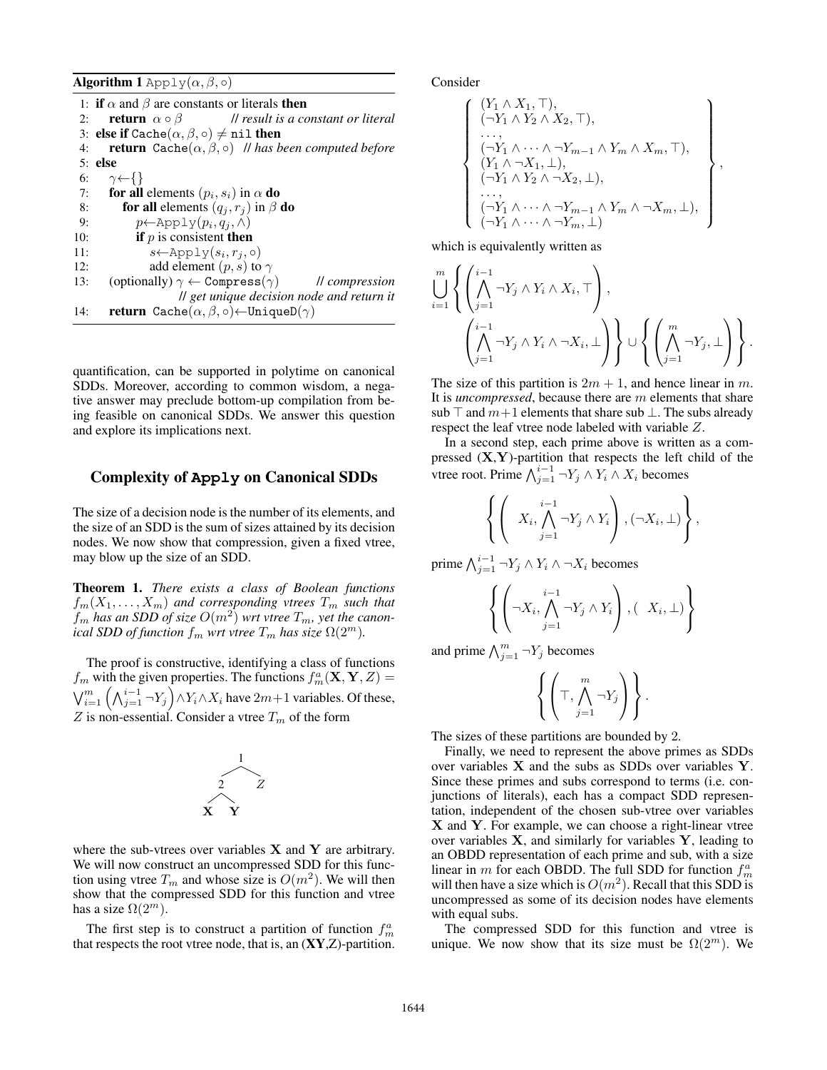**Algorithm 1** Apply $(\alpha, \beta, \circ)$ 

|     | 1: if $\alpha$ and $\beta$ are constants or literals then                    |
|-----|------------------------------------------------------------------------------|
| 2:  | <b>return</b> $\alpha \circ \beta$ // <i>result is a constant or literal</i> |
|     | 3: else if Cache $(\alpha, \beta, \circ) \neq \text{nil}$ then               |
| 4:  | <b>return</b> Cache $(\alpha, \beta, \circ)$ // has been computed before     |
|     | $5:$ else                                                                    |
|     | 6: $\gamma \leftarrow \{\}$                                                  |
| 7:  | for all elements $(p_i, s_i)$ in $\alpha$ do                                 |
| 8:  | <b>for all</b> elements $(q_i, r_j)$ in $\beta$ <b>do</b>                    |
| 9:  | $p \leftarrow \text{Apply}(p_i, q_i, \Lambda)$                               |
| 10: | <b>if</b> $p$ is consistent <b>then</b>                                      |
| 11: | $s \leftarrow \text{Apply}(s_i, r_i, o)$                                     |
| 12: | add element $(p, s)$ to $\gamma$                                             |
| 13: | (optionally) $\gamma \leftarrow \text{Compress}(\gamma)$ // compression      |
|     | Il get unique decision node and return it                                    |
| 14: | <b>return</b> Cache $(\alpha, \beta, \circ) \leftarrow$ UniqueD $(\gamma)$   |
|     |                                                                              |

quantification, can be supported in polytime on canonical SDDs. Moreover, according to common wisdom, a negative answer may preclude bottom-up compilation from being feasible on canonical SDDs. We answer this question and explore its implications next.

## Complexity of **Apply** on Canonical SDDs

The size of a decision node is the number of its elements, and the size of an SDD is the sum of sizes attained by its decision nodes. We now show that compression, given a fixed vtree, may blow up the size of an SDD.

Theorem 1. *There exists a class of Boolean functions*  $f_m(X_1, \ldots, X_m)$  and corresponding vtrees  $T_m$  such that  $f_m$  has an SDD of size  $O(m^2)$  wrt vtree  $T_m$ , yet the canon*ical SDD of function*  $f_m$  *wrt vtree*  $T_m$  *has size*  $\Omega(2^m)$ *.* 

The proof is constructive, identifying a class of functions  $f_m$  with the given properties. The functions  $f_m^a(\mathbf{X}, \mathbf{Y}, Z) =$  $\bigvee_{i=1}^{m} \left(\bigwedge_{j=1}^{i-1} \neg Y_j\right) \wedge Y_i \wedge X_i$  have  $2m+1$  variables. Of these, Z is non-essential. Consider a vtree  $T_m$  of the form



where the sub-vtrees over variables  $X$  and  $Y$  are arbitrary. We will now construct an uncompressed SDD for this function using vtree  $T_m$  and whose size is  $O(m^2)$ . We will then show that the compressed SDD for this function and vtree has a size  $\Omega(2^m)$ .

The first step is to construct a partition of function  $f_m^a$ that respects the root vtree node, that is, an  $(XY, Z)$ -partition. Consider

$$
\begin{cases}\n(Y_1 \wedge X_1, \top), \\
(\neg Y_1 \wedge Y_2 \wedge X_2, \top), \\
\dots, \\
(\neg Y_1 \wedge \dots \wedge \neg Y_{m-1} \wedge Y_m \wedge X_m, \top), \\
(Y_1 \wedge \neg X_1, \bot), \\
(\neg Y_1 \wedge Y_2 \wedge \neg X_2, \bot), \\
\dots, \\
(\neg Y_1 \wedge \dots \wedge \neg Y_{m-1} \wedge Y_m \wedge \neg X_m, \bot), \\
(\neg Y_1 \wedge \dots \wedge \neg Y_m, \bot)\n\end{cases},
$$

which is equivalently written as

$$
\bigcup_{i=1}^{m} \left\{ \left( \bigwedge_{j=1}^{i-1} \neg Y_j \wedge Y_i \wedge X_i, \top \right), \\ \left( \bigwedge_{j=1}^{i-1} \neg Y_j \wedge Y_i \wedge \neg X_i, \bot \right) \right\} \cup \left\{ \left( \bigwedge_{j=1}^{m} \neg Y_j, \bot \right) \right\}.
$$

The size of this partition is  $2m + 1$ , and hence linear in m. It is *uncompressed*, because there are m elements that share sub  $\top$  and  $m+1$  elements that share sub  $\bot$ . The subs already respect the leaf vtree node labeled with variable Z.

In a second step, each prime above is written as a compressed  $(X, Y)$ -partition that respects the left child of the vtree root. Prime  $\bigwedge_{j=1}^{i-1} \neg Y_j \wedge Y_i \wedge X_i$  becomes

$$
\left\{ \left( X_i, \bigwedge_{j=1}^{i-1} \neg Y_j \land Y_i \right), (\neg X_i, \bot) \right\},\
$$

prime  $\bigwedge_{j=1}^{i-1} \neg Y_j \wedge Y_i \wedge \neg X_i$  becomes

$$
\left\{ \left( \neg X_i, \bigwedge_{j=1}^{i-1} \neg Y_j \land Y_i \right), (\quad X_i, \bot) \right\}
$$

and prime  $\bigwedge_{j=1}^m \neg Y_j$  becomes

$$
\left\{ \left( \top, \bigwedge_{j=1}^{m} \neg Y_j \right) \right\}.
$$

The sizes of these partitions are bounded by 2.

Finally, we need to represent the above primes as SDDs over variables X and the subs as SDDs over variables Y. Since these primes and subs correspond to terms (i.e. conjunctions of literals), each has a compact SDD representation, independent of the chosen sub-vtree over variables X and Y. For example, we can choose a right-linear vtree over variables  $X$ , and similarly for variables  $Y$ , leading to an OBDD representation of each prime and sub, with a size linear in m for each OBDD. The full SDD for function  $f_m^a$ will then have a size which is  $O(m^2)$ . Recall that this SDD is uncompressed as some of its decision nodes have elements with equal subs.

The compressed SDD for this function and vtree is unique. We now show that its size must be  $\Omega(2^m)$ . We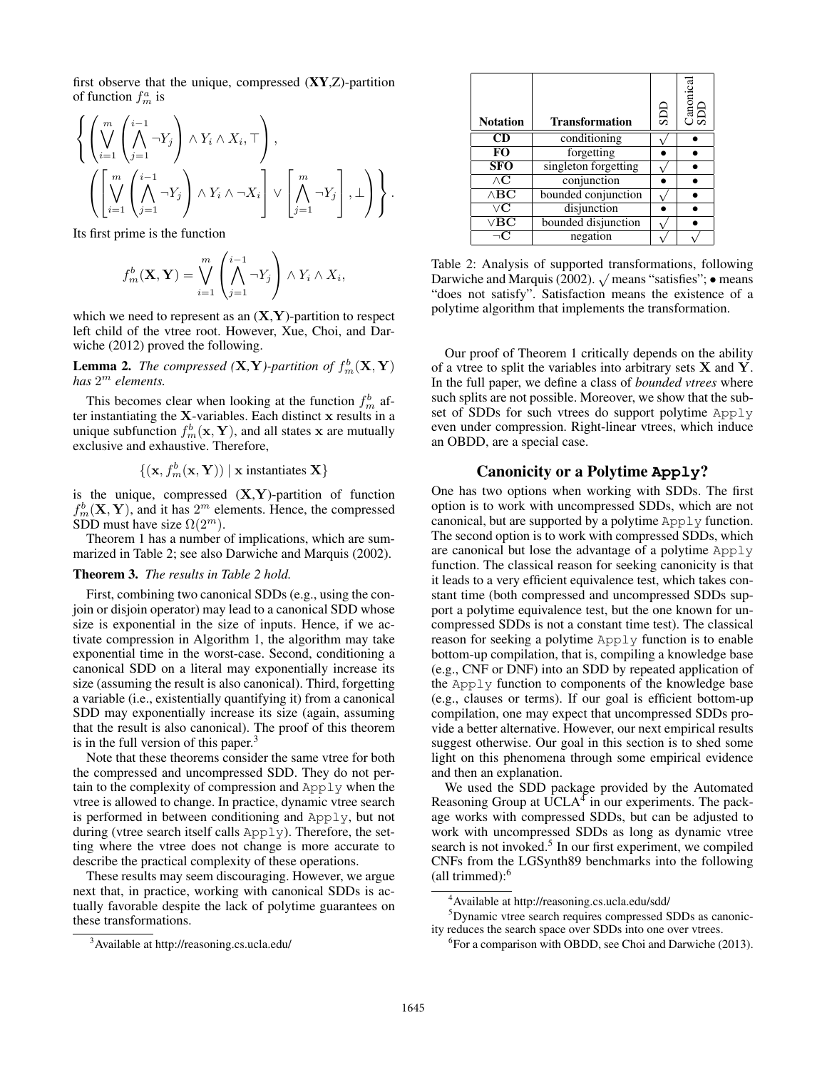first observe that the unique, compressed  $(XY, Z)$ -partition of function  $f_m^a$  is

$$
\left\{ \left( \bigvee_{i=1}^{m} \left( \bigwedge_{j=1}^{i-1} \neg Y_j \right) \land Y_i \land X_i, \top \right), \left( \bigvee_{i=1}^{m} \left( \bigwedge_{j=1}^{i-1} \neg Y_j \right) \land Y_i \land \neg X_i \right] \lor \left[ \bigwedge_{j=1}^{m} \neg Y_j \right], \bot \right) \right\}.
$$

Its first prime is the function

$$
f_m^b(\mathbf{X}, \mathbf{Y}) = \bigvee_{i=1}^m \left( \bigwedge_{j=1}^{i-1} \neg Y_j \right) \wedge Y_i \wedge X_i,
$$

which we need to represent as an  $(X, Y)$ -partition to respect left child of the vtree root. However, Xue, Choi, and Darwiche (2012) proved the following.

**Lemma 2.** *The compressed* (**X**,**Y**)-partition of  $f_m^b$  (**X**, **Y**) *has* 2 <sup>m</sup> *elements.*

This becomes clear when looking at the function  $f_m^b$  after instantiating the  $X$ -variables. Each distinct  $x$  results in a unique subfunction  $f_m^b(\mathbf{x}, \mathbf{Y})$ , and all states x are mutually exclusive and exhaustive. Therefore,

$$
\{(\mathbf{x},f_m^b(\mathbf{x},\mathbf{Y})) \mid \mathbf{x} \text{ instantiates } \mathbf{X}\}
$$

is the unique, compressed  $(X, Y)$ -partition of function  $f_m^b(\mathbf{X}, \mathbf{Y})$ , and it has  $2^m$  elements. Hence, the compressed SDD must have size  $\Omega(2^m)$ .

Theorem 1 has a number of implications, which are summarized in Table 2; see also Darwiche and Marquis (2002).

#### Theorem 3. *The results in Table 2 hold.*

First, combining two canonical SDDs (e.g., using the conjoin or disjoin operator) may lead to a canonical SDD whose size is exponential in the size of inputs. Hence, if we activate compression in Algorithm 1, the algorithm may take exponential time in the worst-case. Second, conditioning a canonical SDD on a literal may exponentially increase its size (assuming the result is also canonical). Third, forgetting a variable (i.e., existentially quantifying it) from a canonical SDD may exponentially increase its size (again, assuming that the result is also canonical). The proof of this theorem is in the full version of this paper. $3$ 

Note that these theorems consider the same vtree for both the compressed and uncompressed SDD. They do not pertain to the complexity of compression and Apply when the vtree is allowed to change. In practice, dynamic vtree search is performed in between conditioning and Apply, but not during (vtree search itself calls Apply). Therefore, the setting where the vtree does not change is more accurate to describe the practical complexity of these operations.

These results may seem discouraging. However, we argue next that, in practice, working with canonical SDDs is actually favorable despite the lack of polytime guarantees on these transformations.

| <b>Notation</b>                         | <b>Transformation</b> | qas | Canonical<br>SDD |
|-----------------------------------------|-----------------------|-----|------------------|
| <b>CD</b>                               | conditioning          |     |                  |
| FO                                      | forgetting            |     |                  |
| <b>SFO</b>                              | singleton forgetting  |     |                  |
| $\wedge {\bf C}$                        | conjunction           |     |                  |
| $\wedge$ BC                             | bounded conjunction   |     |                  |
| $\overline{\vee} \overline{\mathbf{C}}$ | disjunction           |     |                  |
| $\vee$ BC                               | bounded disjunction   |     |                  |
|                                         | negation              |     |                  |

Table 2: Analysis of supported transformations, following rable 2: Analysis of supported transformations, following<br>Darwiche and Marquis (2002).  $\sqrt{ }$  means "satisfies"; • means "does not satisfy". Satisfaction means the existence of a polytime algorithm that implements the transformation.

Our proof of Theorem 1 critically depends on the ability of a vtree to split the variables into arbitrary sets  $X$  and  $Y$ . In the full paper, we define a class of *bounded vtrees* where such splits are not possible. Moreover, we show that the subset of SDDs for such vtrees do support polytime Apply even under compression. Right-linear vtrees, which induce an OBDD, are a special case.

## Canonicity or a Polytime **Apply**?

One has two options when working with SDDs. The first option is to work with uncompressed SDDs, which are not canonical, but are supported by a polytime Apply function. The second option is to work with compressed SDDs, which are canonical but lose the advantage of a polytime Apply function. The classical reason for seeking canonicity is that it leads to a very efficient equivalence test, which takes constant time (both compressed and uncompressed SDDs support a polytime equivalence test, but the one known for uncompressed SDDs is not a constant time test). The classical reason for seeking a polytime Apply function is to enable bottom-up compilation, that is, compiling a knowledge base (e.g., CNF or DNF) into an SDD by repeated application of the Apply function to components of the knowledge base (e.g., clauses or terms). If our goal is efficient bottom-up compilation, one may expect that uncompressed SDDs provide a better alternative. However, our next empirical results suggest otherwise. Our goal in this section is to shed some light on this phenomena through some empirical evidence and then an explanation.

We used the SDD package provided by the Automated Reasoning Group at  $\text{UCLA}^4$  in our experiments. The package works with compressed SDDs, but can be adjusted to work with uncompressed SDDs as long as dynamic vtree search is not invoked.<sup>5</sup> In our first experiment, we compiled CNFs from the LGSynth89 benchmarks into the following (all trimmed):<sup>6</sup>

<sup>3</sup>Available at http://reasoning.cs.ucla.edu/

<sup>4</sup>Available at http://reasoning.cs.ucla.edu/sdd/

<sup>5</sup>Dynamic vtree search requires compressed SDDs as canonicity reduces the search space over SDDs into one over vtrees.

<sup>&</sup>lt;sup>6</sup> For a comparison with OBDD, see Choi and Darwiche (2013).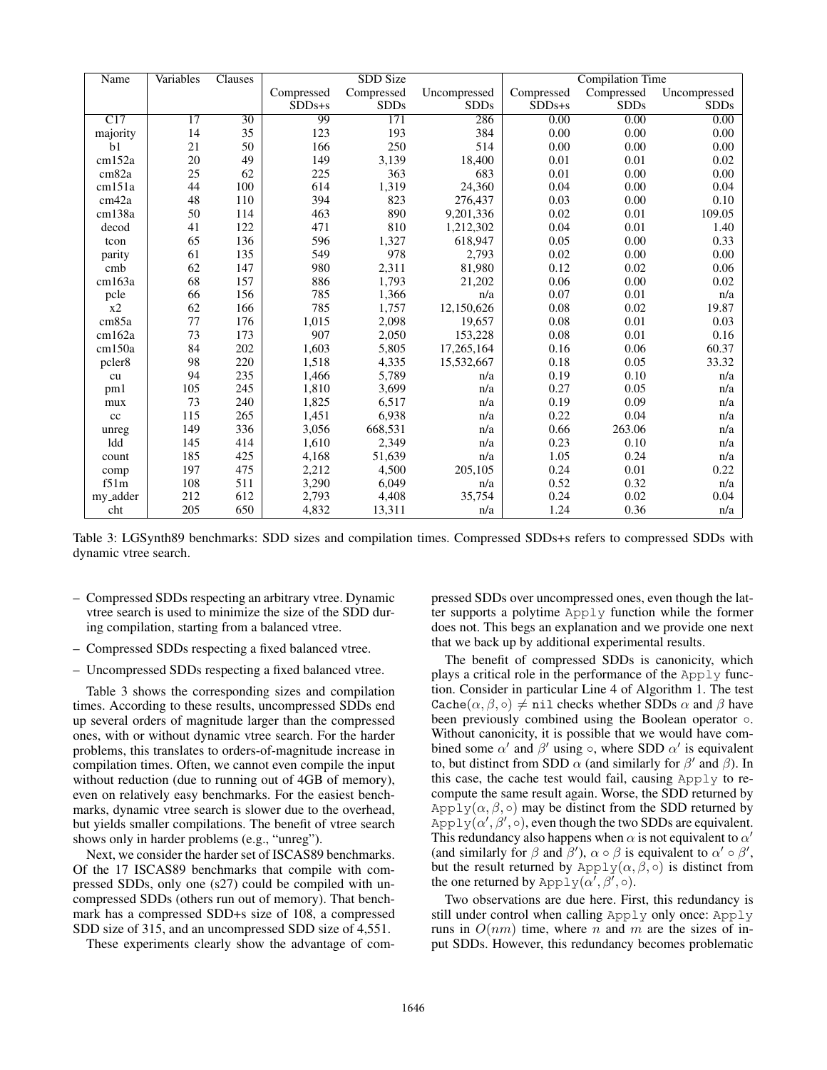| Name              | Variables | Clauses         | <b>SDD Size</b> |             |              | <b>Compilation Time</b> |             |              |
|-------------------|-----------|-----------------|-----------------|-------------|--------------|-------------------------|-------------|--------------|
|                   |           |                 | Compressed      | Compressed  | Uncompressed | Compressed              | Compressed  | Uncompressed |
|                   |           |                 | $SDDs + s$      | <b>SDDs</b> | <b>SDDs</b>  | $SDDs + s$              | <b>SDDs</b> | <b>SDDs</b>  |
| $\overline{C17}$  | 17        | $\overline{30}$ | 99              | 171         | 286          | 0.00                    | 0.00        | 0.00         |
| majority          | 14        | 35              | 123             | 193         | 384          | 0.00                    | 0.00        | 0.00         |
| b <sub>1</sub>    | 21        | 50              | 166             | 250         | 514          | 0.00                    | 0.00        | 0.00         |
| cm152a            | 20        | 49              | 149             | 3,139       | 18,400       | 0.01                    | 0.01        | 0.02         |
| cm82a             | 25        | 62              | 225             | 363         | 683          | 0.01                    | 0.00        | 0.00         |
| cm151a            | 44        | 100             | 614             | 1,319       | 24,360       | 0.04                    | 0.00        | 0.04         |
| cm <sub>42a</sub> | 48        | 110             | 394             | 823         | 276,437      | 0.03                    | 0.00        | 0.10         |
| cm138a            | 50        | 114             | 463             | 890         | 9,201,336    | 0.02                    | 0.01        | 109.05       |
| decod             | 41        | 122             | 471             | 810         | 1,212,302    | 0.04                    | 0.01        | 1.40         |
| tcon              | 65        | 136             | 596             | 1,327       | 618,947      | 0.05                    | 0.00        | 0.33         |
| parity            | 61        | 135             | 549             | 978         | 2,793        | 0.02                    | 0.00        | 0.00         |
| cmb               | 62        | 147             | 980             | 2,311       | 81,980       | 0.12                    | 0.02        | 0.06         |
| cm163a            | 68        | 157             | 886             | 1,793       | 21,202       | 0.06                    | 0.00        | 0.02         |
| pcle              | 66        | 156             | 785             | 1,366       | n/a          | 0.07                    | 0.01        | n/a          |
| x2                | 62        | 166             | 785             | 1,757       | 12,150,626   | 0.08                    | 0.02        | 19.87        |
| cm <sub>85a</sub> | 77        | 176             | 1,015           | 2,098       | 19,657       | 0.08                    | 0.01        | 0.03         |
| cm162a            | 73        | 173             | 907             | 2,050       | 153,228      | 0.08                    | 0.01        | 0.16         |
| cm150a            | 84        | 202             | 1,603           | 5,805       | 17,265,164   | 0.16                    | 0.06        | 60.37        |
| pcler8            | 98        | 220             | 1,518           | 4,335       | 15,532,667   | 0.18                    | 0.05        | 33.32        |
| cu                | 94        | 235             | 1,466           | 5,789       | n/a          | 0.19                    | 0.10        | n/a          |
| pm1               | 105       | 245             | 1,810           | 3,699       | n/a          | 0.27                    | 0.05        | n/a          |
| mux               | 73        | 240             | 1,825           | 6,517       | n/a          | 0.19                    | 0.09        | n/a          |
| cc                | 115       | 265             | 1,451           | 6,938       | n/a          | 0.22                    | 0.04        | n/a          |
| unreg             | 149       | 336             | 3,056           | 668,531     | n/a          | 0.66                    | 263.06      | n/a          |
| ldd               | 145       | 414             | 1,610           | 2,349       | n/a          | 0.23                    | 0.10        | n/a          |
| count             | 185       | 425             | 4,168           | 51,639      | n/a          | 1.05                    | 0.24        | n/a          |
| comp              | 197       | 475             | 2,212           | 4,500       | 205,105      | 0.24                    | 0.01        | 0.22         |
| f51m              | 108       | 511             | 3,290           | 6,049       | n/a          | 0.52                    | 0.32        | n/a          |
| my_adder          | 212       | 612             | 2,793           | 4,408       | 35,754       | 0.24                    | 0.02        | 0.04         |
| cht               | 205       | 650             | 4,832           | 13,311      | n/a          | 1.24                    | 0.36        | n/a          |

Table 3: LGSynth89 benchmarks: SDD sizes and compilation times. Compressed SDDs+s refers to compressed SDDs with dynamic vtree search.

- Compressed SDDs respecting an arbitrary vtree. Dynamic vtree search is used to minimize the size of the SDD during compilation, starting from a balanced vtree.
- Compressed SDDs respecting a fixed balanced vtree.
- Uncompressed SDDs respecting a fixed balanced vtree.

Table 3 shows the corresponding sizes and compilation times. According to these results, uncompressed SDDs end up several orders of magnitude larger than the compressed ones, with or without dynamic vtree search. For the harder problems, this translates to orders-of-magnitude increase in compilation times. Often, we cannot even compile the input without reduction (due to running out of 4GB of memory), even on relatively easy benchmarks. For the easiest benchmarks, dynamic vtree search is slower due to the overhead, but yields smaller compilations. The benefit of vtree search shows only in harder problems (e.g., "unreg").

Next, we consider the harder set of ISCAS89 benchmarks. Of the 17 ISCAS89 benchmarks that compile with compressed SDDs, only one (s27) could be compiled with uncompressed SDDs (others run out of memory). That benchmark has a compressed SDD+s size of 108, a compressed SDD size of 315, and an uncompressed SDD size of 4,551.

These experiments clearly show the advantage of com-

pressed SDDs over uncompressed ones, even though the latter supports a polytime Apply function while the former does not. This begs an explanation and we provide one next that we back up by additional experimental results.

The benefit of compressed SDDs is canonicity, which plays a critical role in the performance of the Apply function. Consider in particular Line 4 of Algorithm 1. The test Cache $(\alpha, \beta, \circ) \neq$  nil checks whether SDDs  $\alpha$  and  $\beta$  have been previously combined using the Boolean operator ○. Without canonicity, it is possible that we would have combined some  $\alpha'$  and  $\beta'$  using  $\circ$ , where SDD  $\alpha'$  is equivalent to, but distinct from SDD  $\alpha$  (and similarly for  $\beta'$  and  $\beta$ ). In this case, the cache test would fail, causing Apply to recompute the same result again. Worse, the SDD returned by Apply( $\alpha$ ,  $\beta$ ,  $\circ$ ) may be distinct from the SDD returned by Apply $(\alpha', \beta', \circ)$ , even though the two SDDs are equivalent. This redundancy also happens when  $\alpha$  is not equivalent to  $\alpha'$ (and similarly for  $\beta$  and  $\beta'$ ),  $\alpha \circ \beta$  is equivalent to  $\alpha' \circ \beta'$ , but the result returned by Apply $(\alpha, \beta, \circ)$  is distinct from the one returned by  $\mathrm{Apply}(\alpha', \beta', \circ)$ .

Two observations are due here. First, this redundancy is still under control when calling Apply only once: Apply runs in  $O(nm)$  time, where n and m are the sizes of input SDDs. However, this redundancy becomes problematic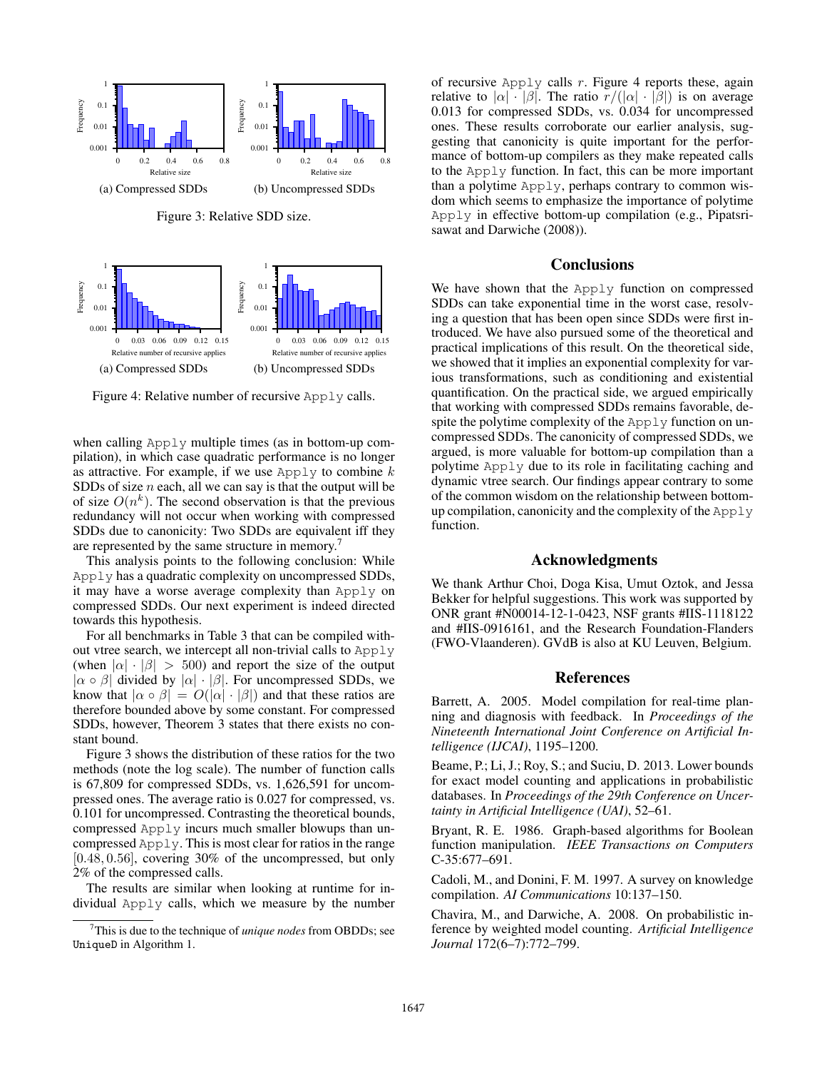

 0.001 0.01 0.1 1 0 0.03 0.06 0.09 0.12 0.15 Frequency Relative number of recursive applies (a) Compressed SDDs 0.001 0.01 0.1 1 0 0.03 0.06 0.09 0.12 0.15 **Frequency** Relative number of recursive applies (b) Uncompressed SDDs

Figure 4: Relative number of recursive Apply calls.

when calling Apply multiple times (as in bottom-up compilation), in which case quadratic performance is no longer as attractive. For example, if we use  $\text{Apply to combine } k$ SDDs of size  $n$  each, all we can say is that the output will be of size  $O(n^k)$ . The second observation is that the previous redundancy will not occur when working with compressed SDDs due to canonicity: Two SDDs are equivalent iff they are represented by the same structure in memory.<sup>7</sup>

This analysis points to the following conclusion: While Apply has a quadratic complexity on uncompressed SDDs, it may have a worse average complexity than Apply on compressed SDDs. Our next experiment is indeed directed towards this hypothesis.

For all benchmarks in Table 3 that can be compiled without vtree search, we intercept all non-trivial calls to Apply (when  $|\alpha| \cdot |\beta| > 500$ ) and report the size of the output  $|\alpha \circ \beta|$  divided by  $|\alpha| \cdot |\beta|$ . For uncompressed SDDs, we know that  $|\alpha \circ \beta| = O(|\alpha| \cdot |\beta|)$  and that these ratios are therefore bounded above by some constant. For compressed SDDs, however, Theorem 3 states that there exists no constant bound.

Figure 3 shows the distribution of these ratios for the two methods (note the log scale). The number of function calls is 67,809 for compressed SDDs, vs. 1,626,591 for uncompressed ones. The average ratio is 0.027 for compressed, vs. 0.101 for uncompressed. Contrasting the theoretical bounds, compressed Apply incurs much smaller blowups than uncompressed Apply. This is most clear for ratios in the range  $[0.48, 0.56]$ , covering 30% of the uncompressed, but only 2% of the compressed calls.

The results are similar when looking at runtime for individual Apply calls, which we measure by the number of recursive Apply calls  $r$ . Figure 4 reports these, again relative to  $|\alpha| \cdot |\beta|$ . The ratio  $r/(|\alpha| \cdot |\beta|)$  is on average 0.013 for compressed SDDs, vs. 0.034 for uncompressed ones. These results corroborate our earlier analysis, suggesting that canonicity is quite important for the performance of bottom-up compilers as they make repeated calls to the Apply function. In fact, this can be more important than a polytime Apply, perhaps contrary to common wisdom which seems to emphasize the importance of polytime Apply in effective bottom-up compilation (e.g., Pipatsrisawat and Darwiche (2008)).

## **Conclusions**

We have shown that the Apply function on compressed SDDs can take exponential time in the worst case, resolving a question that has been open since SDDs were first introduced. We have also pursued some of the theoretical and practical implications of this result. On the theoretical side, we showed that it implies an exponential complexity for various transformations, such as conditioning and existential quantification. On the practical side, we argued empirically that working with compressed SDDs remains favorable, despite the polytime complexity of the Apply function on uncompressed SDDs. The canonicity of compressed SDDs, we argued, is more valuable for bottom-up compilation than a polytime Apply due to its role in facilitating caching and dynamic vtree search. Our findings appear contrary to some of the common wisdom on the relationship between bottomup compilation, canonicity and the complexity of the Apply function.

### Acknowledgments

We thank Arthur Choi, Doga Kisa, Umut Oztok, and Jessa Bekker for helpful suggestions. This work was supported by ONR grant #N00014-12-1-0423, NSF grants #IIS-1118122 and #IIS-0916161, and the Research Foundation-Flanders (FWO-Vlaanderen). GVdB is also at KU Leuven, Belgium.

## References

Barrett, A. 2005. Model compilation for real-time planning and diagnosis with feedback. In *Proceedings of the Nineteenth International Joint Conference on Artificial Intelligence (IJCAI)*, 1195–1200.

Beame, P.; Li, J.; Roy, S.; and Suciu, D. 2013. Lower bounds for exact model counting and applications in probabilistic databases. In *Proceedings of the 29th Conference on Uncertainty in Artificial Intelligence (UAI)*, 52–61.

Bryant, R. E. 1986. Graph-based algorithms for Boolean function manipulation. *IEEE Transactions on Computers* C-35:677–691.

Cadoli, M., and Donini, F. M. 1997. A survey on knowledge compilation. *AI Communications* 10:137–150.

Chavira, M., and Darwiche, A. 2008. On probabilistic inference by weighted model counting. *Artificial Intelligence Journal* 172(6–7):772–799.

<sup>7</sup>This is due to the technique of *unique nodes* from OBDDs; see UniqueD in Algorithm 1.